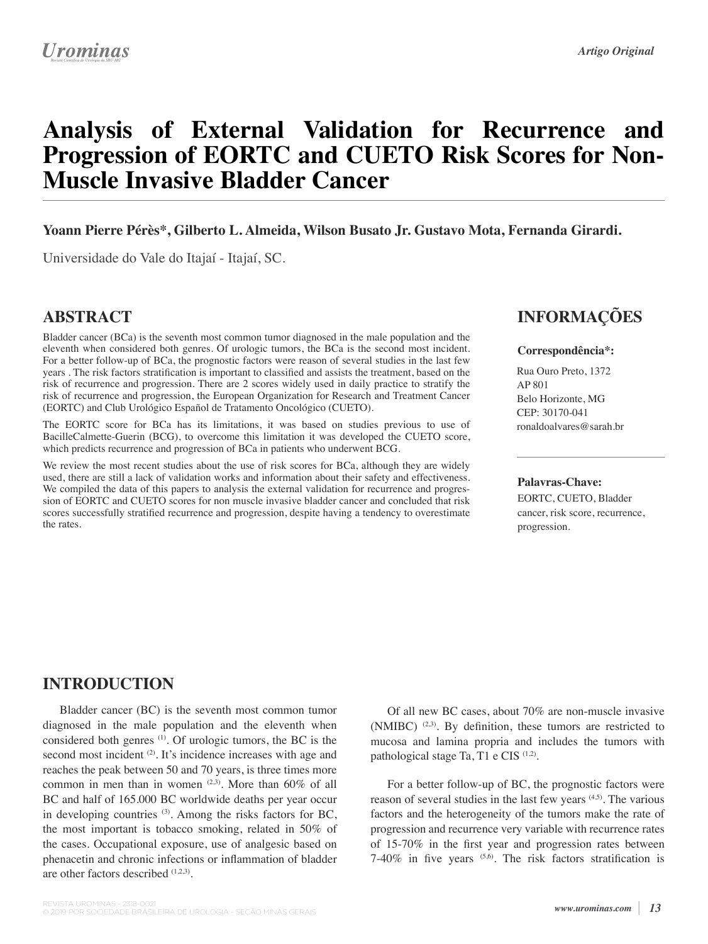# **Analysis of External Validation for Recurrence and Progression of EORTC and CUETO Risk Scores for Non-Muscle Invasive Bladder Cancer**

**Yoann Pierre Pérès\*, Gilberto L. Almeida, Wilson Busato Jr. Gustavo Mota, Fernanda Girardi.**

Universidade do Vale do Itajaí - Itajaí, SC.

### **ABSTRACT**

Bladder cancer (BCa) is the seventh most common tumor diagnosed in the male population and the eleventh when considered both genres. Of urologic tumors, the BCa is the second most incident. For a better follow-up of BCa, the prognostic factors were reason of several studies in the last few years . The risk factors stratifcation is important to classifed and assists the treatment, based on the risk of recurrence and progression. There are 2 scores widely used in daily practice to stratify the risk of recurrence and progression, the European Organization for Research and Treatment Cancer (EORTC) and Club Urológico Español de Tratamento Oncológico (CUETO).

The EORTC score for BCa has its limitations, it was based on studies previous to use of BacilleCalmette-Guerin (BCG), to overcome this limitation it was developed the CUETO score, which predicts recurrence and progression of BCa in patients who underwent BCG.

We review the most recent studies about the use of risk scores for BCa, although they are widely used, there are still a lack of validation works and information about their safety and effectiveness. We compiled the data of this papers to analysis the external validation for recurrence and progression of EORTC and CUETO scores for non muscle invasive bladder cancer and concluded that risk scores successfully stratifed recurrence and progression, despite having a tendency to overestimate the rates.

## **INFORMAÇÕES**

#### **Correspondência\*:**

Rua Ouro Preto, 1372 AP 801 Belo Horizonte, MG CEP: 30170-041 ronaldoalvares@sarah.br

#### **Palavras-Chave:**

EORTC, CUETO, Bladder cancer, risk score, recurrence, progression.

### **INTRODUCTION**

Bladder cancer (BC) is the seventh most common tumor diagnosed in the male population and the eleventh when considered both genres (1). Of urologic tumors, the BC is the second most incident <sup>(2)</sup>. It's incidence increases with age and reaches the peak between 50 and 70 years, is three times more common in men than in women  $(2,3)$ . More than  $60\%$  of all BC and half of 165.000 BC worldwide deaths per year occur in developing countries  $(3)$ . Among the risks factors for BC, the most important is tobacco smoking, related in 50% of the cases. Occupational exposure, use of analgesic based on phenacetin and chronic infections or infammation of bladder are other factors described (1,2,3).

Of all new BC cases, about 70% are non-muscle invasive (NMIBC)  $(2,3)$ . By definition, these tumors are restricted to mucosa and lamina propria and includes the tumors with pathological stage Ta, T1 e CIS<sup>(1,2)</sup>.

For a better follow-up of BC, the prognostic factors were reason of several studies in the last few years <sup>(4,5)</sup>. The various factors and the heterogeneity of the tumors make the rate of progression and recurrence very variable with recurrence rates of 15-70% in the frst year and progression rates between 7-40% in fve years (5,6). The risk factors stratifcation is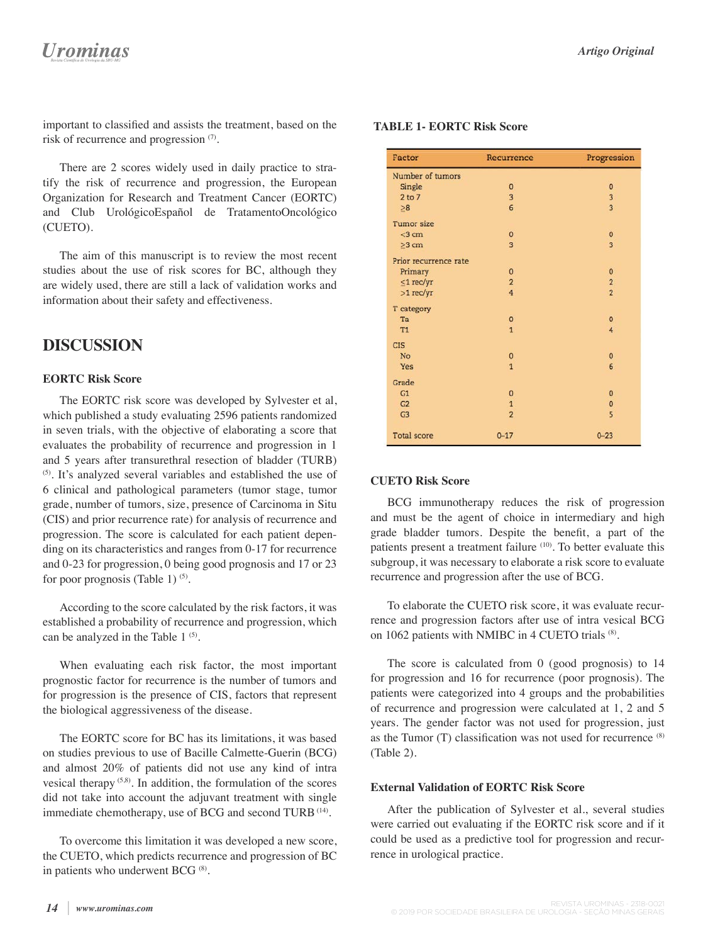important to classifed and assists the treatment, based on the risk of recurrence and progression (7).

There are 2 scores widely used in daily practice to stratify the risk of recurrence and progression, the European Organization for Research and Treatment Cancer (EORTC) and Club UrológicoEspañol de TratamentoOncológico (CUETO).

The aim of this manuscript is to review the most recent studies about the use of risk scores for BC, although they are widely used, there are still a lack of validation works and information about their safety and effectiveness.

## **DISCUSSION**

#### **EORTC Risk Score**

The EORTC risk score was developed by Sylvester et al, which published a study evaluating 2596 patients randomized in seven trials, with the objective of elaborating a score that evaluates the probability of recurrence and progression in 1 and 5 years after transurethral resection of bladder (TURB) (5). It's analyzed several variables and established the use of 6 clinical and pathological parameters (tumor stage, tumor grade, number of tumors, size, presence of Carcinoma in Situ (CIS) and prior recurrence rate) for analysis of recurrence and progression. The score is calculated for each patient depending on its characteristics and ranges from 0-17 for recurrence and 0-23 for progression, 0 being good prognosis and 17 or 23 for poor prognosis (Table 1)  $(5)$ .

According to the score calculated by the risk factors, it was established a probability of recurrence and progression, which can be analyzed in the Table 1<sup>(5)</sup>.

When evaluating each risk factor, the most important prognostic factor for recurrence is the number of tumors and for progression is the presence of CIS, factors that represent the biological aggressiveness of the disease.

The EORTC score for BC has its limitations, it was based on studies previous to use of Bacille Calmette-Guerin (BCG) and almost 20% of patients did not use any kind of intra vesical therapy (5,8). In addition, the formulation of the scores did not take into account the adjuvant treatment with single immediate chemotherapy, use of BCG and second TURB (14).

To overcome this limitation it was developed a new score, the CUETO, which predicts recurrence and progression of BC in patients who underwent BCG<sup>(8)</sup>.

#### **TABLE 1- EORTC Risk Score**

| Factor                | Recurrence     | Progression             |
|-----------------------|----------------|-------------------------|
| Number of tumors      |                |                         |
| Single                | $\overline{0}$ | $\overline{0}$          |
| 2 to 7                | 3              | $\overline{\mathbf{3}}$ |
| $\geq 8$              | 6              | $\overline{\mathbf{3}}$ |
| Tumor size            |                |                         |
| $<$ 3 cm              | $\bf{0}$       | $\bf{0}$                |
| $\geq$ 3 cm           | 3              | $\overline{\mathbf{3}}$ |
| Prior recurrence rate |                |                         |
| Primary               | $\mathbf{0}$   | $\mathbf{0}$            |
| $\leq$ 1 rec/yr       | $\overline{a}$ | $\overline{a}$          |
| $>1$ rec/yr           | $\overline{4}$ | $\overline{2}$          |
| T category            |                |                         |
| Ta                    | $\circ$        | $\overline{0}$          |
| T1                    | $\mathbf{1}$   | 4                       |
| <b>CIS</b>            |                |                         |
| No                    | $\bf{0}$       | $\mathbf{0}$            |
| Yes                   | $\overline{1}$ | 6                       |
| Grade                 |                |                         |
| G1                    | $\bf{0}$       | $\overline{0}$          |
| G2                    | $\overline{1}$ | $\overline{0}$          |
| G <sub>3</sub>        | $\overline{2}$ | 5                       |
| <b>Total score</b>    | $0 - 17$       | $0 - 23$                |

#### **CUETO Risk Score**

BCG immunotherapy reduces the risk of progression and must be the agent of choice in intermediary and high grade bladder tumors. Despite the beneft, a part of the patients present a treatment failure (10). To better evaluate this subgroup, it was necessary to elaborate a risk score to evaluate recurrence and progression after the use of BCG.

To elaborate the CUETO risk score, it was evaluate recurrence and progression factors after use of intra vesical BCG on 1062 patients with NMIBC in 4 CUETO trials (8).

The score is calculated from 0 (good prognosis) to 14 for progression and 16 for recurrence (poor prognosis). The patients were categorized into 4 groups and the probabilities of recurrence and progression were calculated at 1, 2 and 5 years. The gender factor was not used for progression, just as the Tumor  $(T)$  classification was not used for recurrence  $(8)$ (Table 2).

#### **External Validation of EORTC Risk Score**

After the publication of Sylvester et al., several studies were carried out evaluating if the EORTC risk score and if it could be used as a predictive tool for progression and recurrence in urological practice.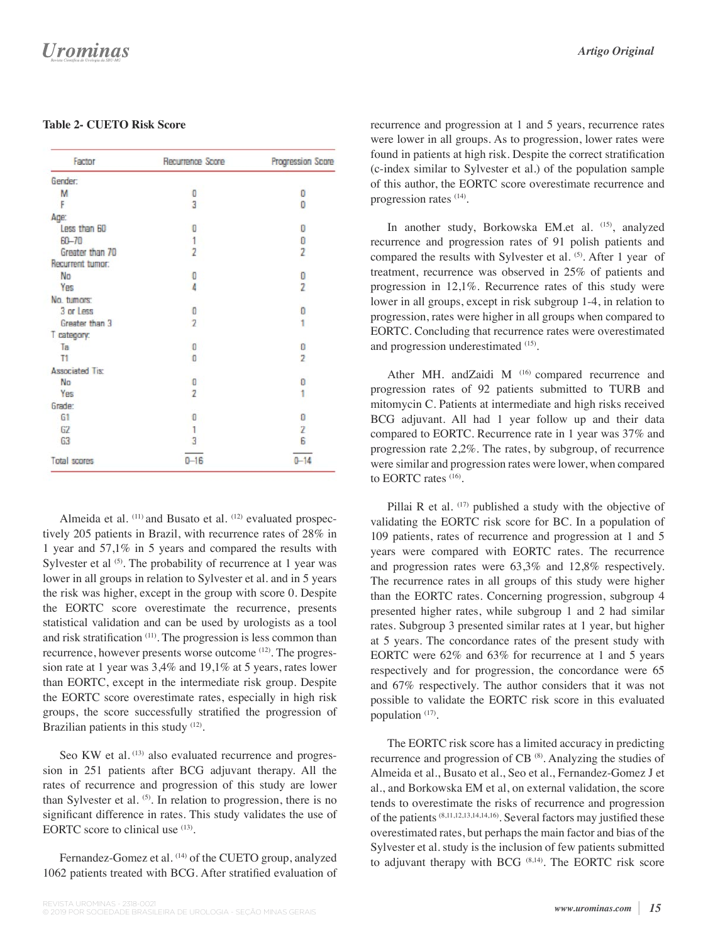#### **Table 2- CUETO Risk Score**

| Factor                 | Recurrence Score         | Progression Score |
|------------------------|--------------------------|-------------------|
| Gender:                |                          |                   |
| M                      | 0                        | 0                 |
| F                      | 3                        | 0                 |
| Age:                   |                          |                   |
| Less than 60           | 0                        | 0                 |
| $60 - 70$              | 1                        | 0                 |
| Greater than 70        | $\overline{2}$           | $\overline{2}$    |
| Recurrent tumor:       |                          |                   |
| No                     | 0                        | O                 |
| Yes                    | Δ                        | $\overline{2}$    |
| No. tumors:            |                          |                   |
| 3 or Less              | 0                        | 0                 |
| Greater than 3         | $\overline{\mathbf{r}}$  | 1                 |
| T category.            |                          |                   |
| Ta                     | 0                        | 0                 |
| T1                     | 0                        | $\overline{2}$    |
| <b>Associated Tis:</b> |                          |                   |
| No                     | 0                        | 0                 |
| Yes                    | $\overline{\phantom{a}}$ | 1                 |
| Grade:                 |                          |                   |
| G1                     | 0                        | 0                 |
| G2                     | 1                        | $\overline{2}$    |
| G3                     | 3                        | 6                 |
| Total scores           | $0 - 16$                 | $0 - 14$          |

Almeida et al. <sup>(11)</sup> and Busato et al. <sup>(12)</sup> evaluated prospectively 205 patients in Brazil, with recurrence rates of 28% in 1 year and 57,1% in 5 years and compared the results with Sylvester et al  $(5)$ . The probability of recurrence at 1 year was lower in all groups in relation to Sylvester et al. and in 5 years the risk was higher, except in the group with score 0. Despite the EORTC score overestimate the recurrence, presents statistical validation and can be used by urologists as a tool and risk stratifcation (11). The progression is less common than recurrence, however presents worse outcome (12). The progression rate at 1 year was 3,4% and 19,1% at 5 years, rates lower than EORTC, except in the intermediate risk group. Despite the EORTC score overestimate rates, especially in high risk groups, the score successfully stratifed the progression of Brazilian patients in this study <sup>(12)</sup>.

Seo KW et al. (13) also evaluated recurrence and progression in 251 patients after BCG adjuvant therapy. All the rates of recurrence and progression of this study are lower than Sylvester et al. (5). In relation to progression, there is no signifcant difference in rates. This study validates the use of EORTC score to clinical use <sup>(13)</sup>.

Fernandez-Gomez et al. <sup>(14)</sup> of the CUETO group, analyzed 1062 patients treated with BCG. After stratifed evaluation of recurrence and progression at 1 and 5 years, recurrence rates were lower in all groups. As to progression, lower rates were found in patients at high risk. Despite the correct stratifcation (c-index similar to Sylvester et al.) of the population sample of this author, the EORTC score overestimate recurrence and progression rates (14).

In another study, Borkowska EM.et al. (15), analyzed recurrence and progression rates of 91 polish patients and compared the results with Sylvester et al. <sup>(5)</sup>. After 1 year of treatment, recurrence was observed in 25% of patients and progression in 12,1%. Recurrence rates of this study were lower in all groups, except in risk subgroup 1-4, in relation to progression, rates were higher in all groups when compared to EORTC. Concluding that recurrence rates were overestimated and progression underestimated (15).

Ather MH. andZaidi M (16) compared recurrence and progression rates of 92 patients submitted to TURB and mitomycin C. Patients at intermediate and high risks received BCG adjuvant. All had 1 year follow up and their data compared to EORTC. Recurrence rate in 1 year was 37% and progression rate 2,2%. The rates, by subgroup, of recurrence were similar and progression rates were lower, when compared to EORTC rates (16).

Pillai R et al.  $(17)$  published a study with the objective of validating the EORTC risk score for BC. In a population of 109 patients, rates of recurrence and progression at 1 and 5 years were compared with EORTC rates. The recurrence and progression rates were 63,3% and 12,8% respectively. The recurrence rates in all groups of this study were higher than the EORTC rates. Concerning progression, subgroup 4 presented higher rates, while subgroup 1 and 2 had similar rates. Subgroup 3 presented similar rates at 1 year, but higher at 5 years. The concordance rates of the present study with EORTC were 62% and 63% for recurrence at 1 and 5 years respectively and for progression, the concordance were 65 and 67% respectively. The author considers that it was not possible to validate the EORTC risk score in this evaluated population (17).

The EORTC risk score has a limited accuracy in predicting recurrence and progression of CB<sup>(8)</sup>. Analyzing the studies of Almeida et al., Busato et al., Seo et al., Fernandez-Gomez J et al., and Borkowska EM et al, on external validation, the score tends to overestimate the risks of recurrence and progression of the patients (8,11,12,13,14,14,16). Several factors may justifed these overestimated rates, but perhaps the main factor and bias of the Sylvester et al. study is the inclusion of few patients submitted to adjuvant therapy with BCG <sup>(8,14)</sup>. The EORTC risk score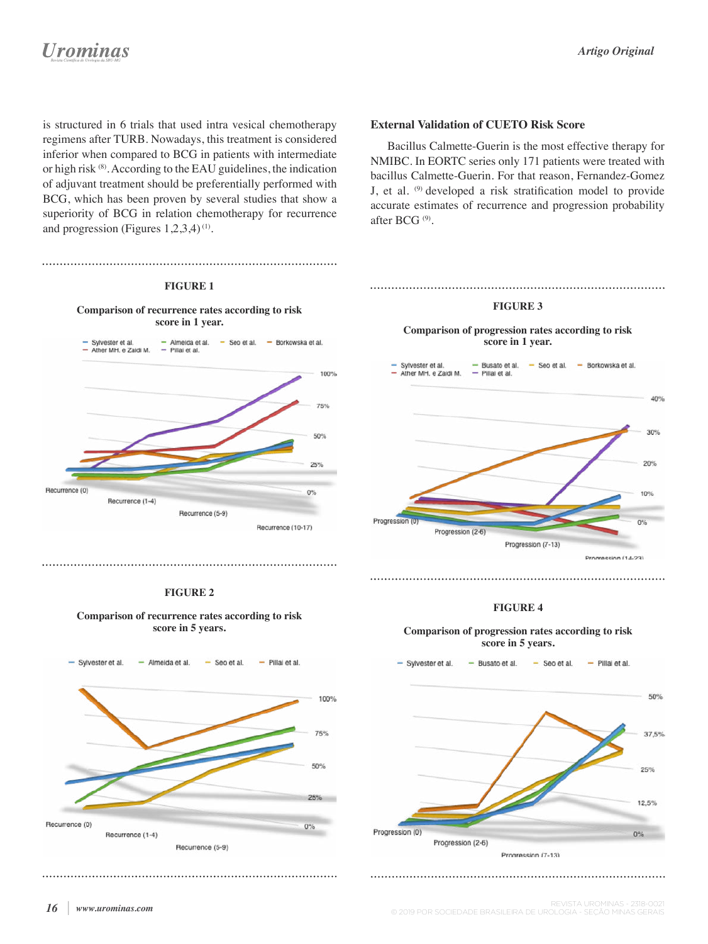# **Urominas**

is structured in 6 trials that used intra vesical chemotherapy regimens after TURB. Nowadays, this treatment is considered inferior when compared to BCG in patients with intermediate or high risk (8). According to the EAU guidelines, the indication of adjuvant treatment should be preferentially performed with BCG, which has been proven by several studies that show a superiority of BCG in relation chemotherapy for recurrence and progression (Figures  $1,2,3,4$ )<sup>(1)</sup>.



**FIGURE 2**





#### **External Validation of CUETO Risk Score**

Bacillus Calmette-Guerin is the most effective therapy for NMIBC. In EORTC series only 171 patients were treated with bacillus Calmette-Guerin. For that reason, Fernandez-Gomez J, et al. <sup>(9)</sup> developed a risk stratification model to provide accurate estimates of recurrence and progression probability after BCG (9).



#### **FIGURE 4**

**Comparison of progression rates according to risk score in 5 years.**

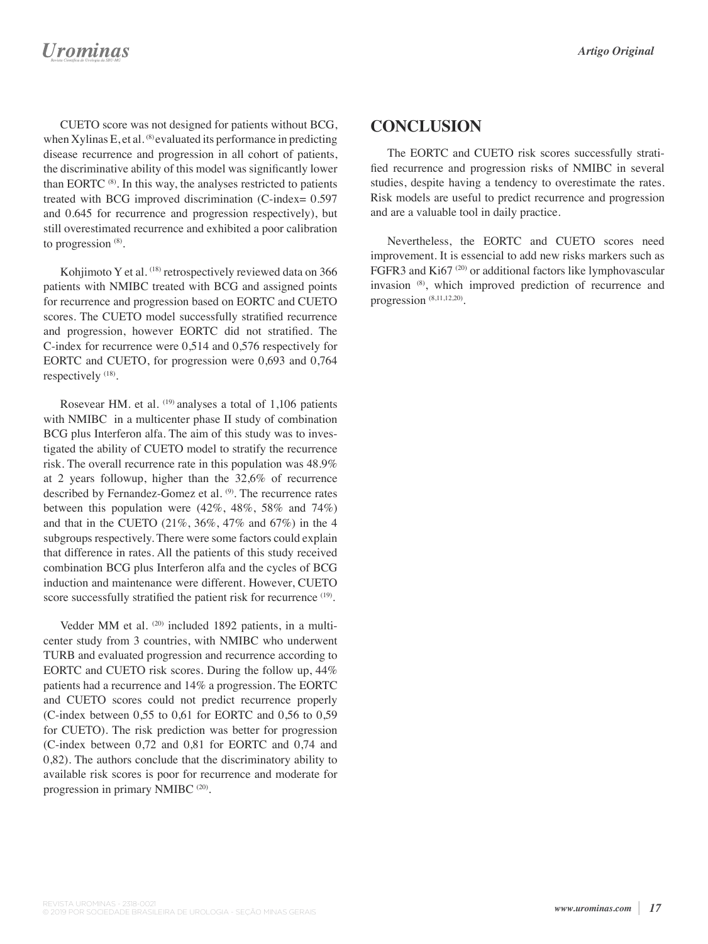## **Urominas**

CUETO score was not designed for patients without BCG, when Xylinas E, et al. (8) evaluated its performance in predicting disease recurrence and progression in all cohort of patients, the discriminative ability of this model was signifcantly lower than EORTC (8). In this way, the analyses restricted to patients treated with BCG improved discrimination (C-index= 0.597 and 0.645 for recurrence and progression respectively), but still overestimated recurrence and exhibited a poor calibration to progression<sup>(8)</sup>.

Kohjimoto Y et al. <sup>(18)</sup> retrospectively reviewed data on 366 patients with NMIBC treated with BCG and assigned points for recurrence and progression based on EORTC and CUETO scores. The CUETO model successfully stratifed recurrence and progression, however EORTC did not stratifed. The C-index for recurrence were 0,514 and 0,576 respectively for EORTC and CUETO, for progression were 0,693 and 0,764 respectively  $^{(18)}$ .

Rosevear HM. et al.  $(19)$  analyses a total of 1,106 patients with NMIBC in a multicenter phase II study of combination BCG plus Interferon alfa. The aim of this study was to investigated the ability of CUETO model to stratify the recurrence risk. The overall recurrence rate in this population was 48.9% at 2 years followup, higher than the 32,6% of recurrence described by Fernandez-Gomez et al. <sup>(9)</sup>. The recurrence rates between this population were (42%, 48%, 58% and 74%) and that in the CUETO (21%, 36%, 47% and 67%) in the 4 subgroups respectively. There were some factors could explain that difference in rates. All the patients of this study received combination BCG plus Interferon alfa and the cycles of BCG induction and maintenance were different. However, CUETO score successfully stratified the patient risk for recurrence  $(19)$ .

Vedder MM et al. <sup>(20)</sup> included 1892 patients, in a multicenter study from 3 countries, with NMIBC who underwent TURB and evaluated progression and recurrence according to EORTC and CUETO risk scores. During the follow up, 44% patients had a recurrence and 14% a progression. The EORTC and CUETO scores could not predict recurrence properly (C-index between 0,55 to 0,61 for EORTC and 0,56 to 0,59 for CUETO). The risk prediction was better for progression (C-index between 0,72 and 0,81 for EORTC and 0,74 and 0,82). The authors conclude that the discriminatory ability to available risk scores is poor for recurrence and moderate for progression in primary NMIBC (20).

## **CONCLUSION**

The EORTC and CUETO risk scores successfully stratifed recurrence and progression risks of NMIBC in several studies, despite having a tendency to overestimate the rates. Risk models are useful to predict recurrence and progression and are a valuable tool in daily practice.

Nevertheless, the EORTC and CUETO scores need improvement. It is essencial to add new risks markers such as FGFR3 and Ki67<sup>(20)</sup> or additional factors like lymphovascular invasion (8), which improved prediction of recurrence and progression (8,11,12,20).